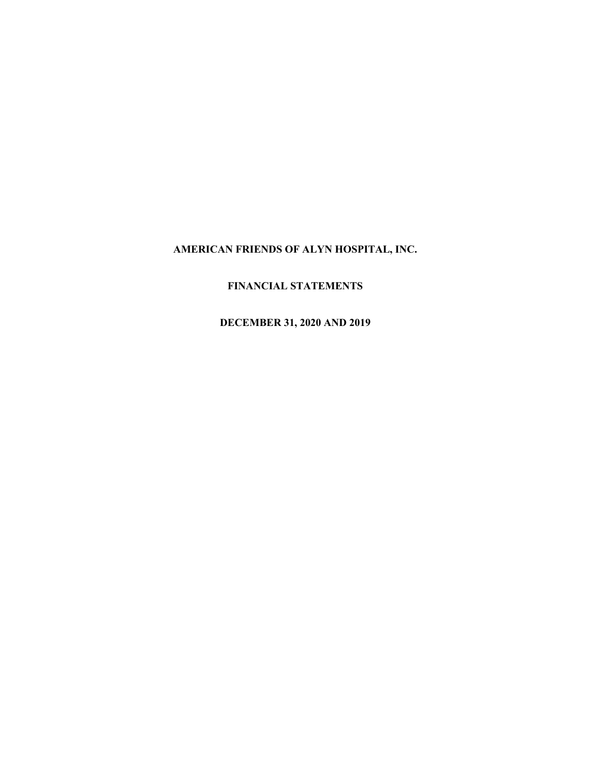# **FINANCIAL STATEMENTS**

**DECEMBER 31, 2020 AND 2019**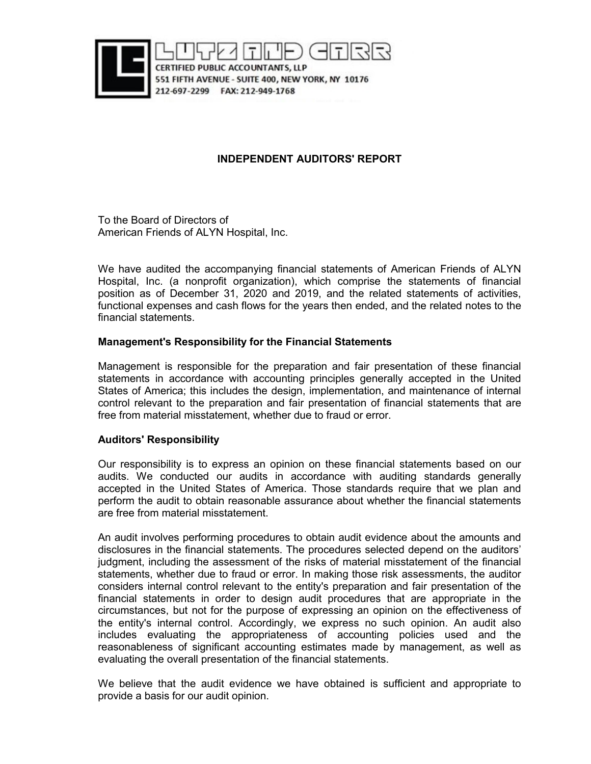

## **INDEPENDENT AUDITORS' REPORT**

To the Board of Directors of American Friends of ALYN Hospital, Inc.

We have audited the accompanying financial statements of American Friends of ALYN Hospital, Inc. (a nonprofit organization), which comprise the statements of financial position as of December 31, 2020 and 2019, and the related statements of activities, functional expenses and cash flows for the years then ended, and the related notes to the financial statements.

### **Management's Responsibility for the Financial Statements**

Management is responsible for the preparation and fair presentation of these financial statements in accordance with accounting principles generally accepted in the United States of America; this includes the design, implementation, and maintenance of internal control relevant to the preparation and fair presentation of financial statements that are free from material misstatement, whether due to fraud or error.

## **Auditors' Responsibility**

Our responsibility is to express an opinion on these financial statements based on our audits. We conducted our audits in accordance with auditing standards generally accepted in the United States of America. Those standards require that we plan and perform the audit to obtain reasonable assurance about whether the financial statements are free from material misstatement.

An audit involves performing procedures to obtain audit evidence about the amounts and disclosures in the financial statements. The procedures selected depend on the auditors' judgment, including the assessment of the risks of material misstatement of the financial statements, whether due to fraud or error. In making those risk assessments, the auditor considers internal control relevant to the entity's preparation and fair presentation of the financial statements in order to design audit procedures that are appropriate in the circumstances, but not for the purpose of expressing an opinion on the effectiveness of the entity's internal control. Accordingly, we express no such opinion. An audit also includes evaluating the appropriateness of accounting policies used and the reasonableness of significant accounting estimates made by management, as well as evaluating the overall presentation of the financial statements.

We believe that the audit evidence we have obtained is sufficient and appropriate to provide a basis for our audit opinion.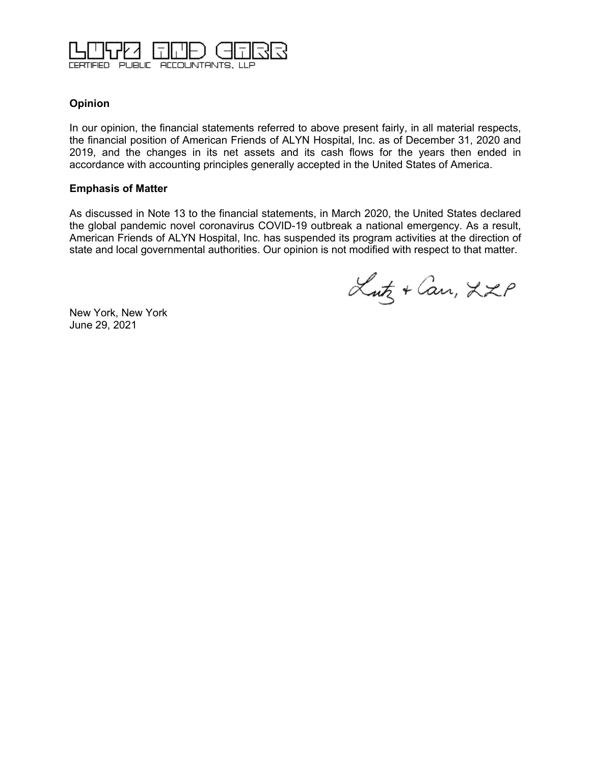

## **Opinion**

In our opinion, the financial statements referred to above present fairly, in all material respects, the financial position of American Friends of ALYN Hospital, Inc. as of December 31, 2020 and 2019, and the changes in its net assets and its cash flows for the years then ended in accordance with accounting principles generally accepted in the United States of America.

### **Emphasis of Matter**

As discussed in Note 13 to the financial statements, in March 2020, the United States declared the global pandemic novel coronavirus COVID-19 outbreak a national emergency. As a result, American Friends of ALYN Hospital, Inc. has suspended its program activities at the direction of state and local governmental authorities. Our opinion is not modified with respect to that matter.

Lutz + Can, LZP

New York, New York June 29, 2021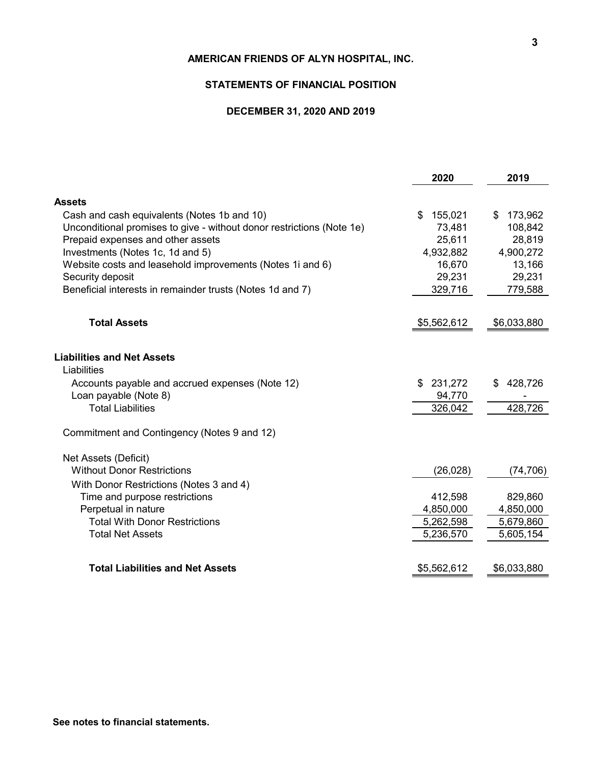#### **STATEMENTS OF FINANCIAL POSITION**

## **DECEMBER 31, 2020 AND 2019**

|                                                                       | 2020          | 2019          |
|-----------------------------------------------------------------------|---------------|---------------|
| Assets                                                                |               |               |
| Cash and cash equivalents (Notes 1b and 10)                           | 155,021<br>\$ | \$<br>173,962 |
| Unconditional promises to give - without donor restrictions (Note 1e) | 73,481        | 108,842       |
| Prepaid expenses and other assets                                     | 25,611        | 28,819        |
| Investments (Notes 1c, 1d and 5)                                      | 4,932,882     | 4,900,272     |
| Website costs and leasehold improvements (Notes 1i and 6)             | 16,670        | 13,166        |
| Security deposit                                                      | 29,231        | 29,231        |
| Beneficial interests in remainder trusts (Notes 1d and 7)             | 329,716       | 779,588       |
|                                                                       |               |               |
| <b>Total Assets</b>                                                   | \$5,562,612   | \$6,033,880   |
| <b>Liabilities and Net Assets</b><br>Liabilities                      |               |               |
| Accounts payable and accrued expenses (Note 12)                       | 231,272<br>\$ | 428,726<br>\$ |
| Loan payable (Note 8)                                                 | 94,770        |               |
| <b>Total Liabilities</b>                                              | 326,042       | 428,726       |
| Commitment and Contingency (Notes 9 and 12)                           |               |               |
| Net Assets (Deficit)                                                  |               |               |
| <b>Without Donor Restrictions</b>                                     | (26, 028)     | (74, 706)     |
| With Donor Restrictions (Notes 3 and 4)                               |               |               |
| Time and purpose restrictions                                         | 412,598       | 829,860       |
| Perpetual in nature                                                   | 4,850,000     | 4,850,000     |
| <b>Total With Donor Restrictions</b>                                  | 5,262,598     | 5,679,860     |
| <b>Total Net Assets</b>                                               | 5,236,570     | 5,605,154     |
| <b>Total Liabilities and Net Assets</b>                               | \$5,562,612   | \$6,033,880   |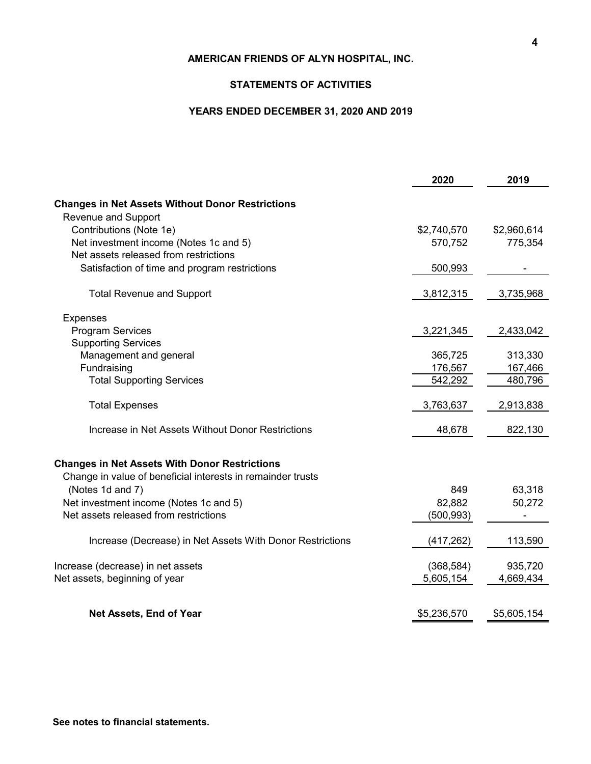### **STATEMENTS OF ACTIVITIES**

## **YEARS ENDED DECEMBER 31, 2020 AND 2019**

|                                                                                                                     | 2020        | 2019        |
|---------------------------------------------------------------------------------------------------------------------|-------------|-------------|
| <b>Changes in Net Assets Without Donor Restrictions</b>                                                             |             |             |
| Revenue and Support                                                                                                 |             |             |
| Contributions (Note 1e)                                                                                             | \$2,740,570 | \$2,960,614 |
| Net investment income (Notes 1c and 5)                                                                              | 570,752     | 775,354     |
| Net assets released from restrictions                                                                               |             |             |
| Satisfaction of time and program restrictions                                                                       | 500,993     |             |
|                                                                                                                     |             |             |
| <b>Total Revenue and Support</b>                                                                                    | 3,812,315   | 3,735,968   |
| <b>Expenses</b>                                                                                                     |             |             |
| <b>Program Services</b>                                                                                             | 3,221,345   | 2,433,042   |
| <b>Supporting Services</b>                                                                                          |             |             |
| Management and general                                                                                              | 365,725     | 313,330     |
| Fundraising                                                                                                         | 176,567     | 167,466     |
| <b>Total Supporting Services</b>                                                                                    | 542,292     | 480,796     |
| <b>Total Expenses</b>                                                                                               | 3,763,637   | 2,913,838   |
| Increase in Net Assets Without Donor Restrictions                                                                   | 48,678      | 822,130     |
| <b>Changes in Net Assets With Donor Restrictions</b><br>Change in value of beneficial interests in remainder trusts |             |             |
| (Notes 1d and 7)                                                                                                    | 849         | 63,318      |
| Net investment income (Notes 1c and 5)                                                                              | 82,882      | 50,272      |
| Net assets released from restrictions                                                                               | (500, 993)  |             |
| Increase (Decrease) in Net Assets With Donor Restrictions                                                           | (417, 262)  | 113,590     |
| Increase (decrease) in net assets                                                                                   | (368, 584)  | 935,720     |
| Net assets, beginning of year                                                                                       | 5,605,154   | 4,669,434   |
|                                                                                                                     |             |             |
| Net Assets, End of Year                                                                                             | \$5,236,570 | \$5,605,154 |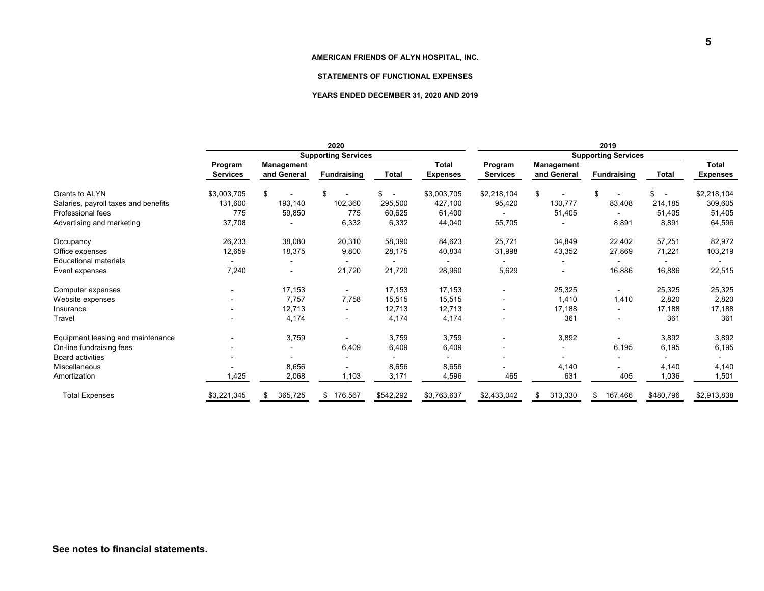#### **STATEMENTS OF FUNCTIONAL EXPENSES**

#### **YEARS ENDED DECEMBER 31, 2020 AND 2019**

|                                      | 2020                       |                           |                    | 2019                           |                 |                            |                           |                    |                                |                                 |
|--------------------------------------|----------------------------|---------------------------|--------------------|--------------------------------|-----------------|----------------------------|---------------------------|--------------------|--------------------------------|---------------------------------|
|                                      | <b>Supporting Services</b> |                           |                    |                                |                 | <b>Supporting Services</b> |                           |                    |                                |                                 |
|                                      | Program<br><b>Services</b> | Management<br>and General | <b>Fundraising</b> | <b>Total</b>                   | <b>Total</b>    | Program<br><b>Services</b> | Management<br>and General | <b>Fundraising</b> | <b>Total</b>                   | <b>Total</b><br><b>Expenses</b> |
|                                      |                            |                           |                    |                                | <b>Expenses</b> |                            |                           |                    |                                |                                 |
| Grants to ALYN                       | \$3,003,705                | \$                        | \$                 | \$<br>$\overline{\phantom{a}}$ | \$3,003,705     | \$2,218,104                | \$                        | \$                 | \$<br>$\overline{\phantom{a}}$ | \$2,218,104                     |
| Salaries, payroll taxes and benefits | 131,600                    | 193,140                   | 102,360            | 295,500                        | 427,100         | 95,420                     | 130,777                   | 83,408             | 214,185                        | 309,605                         |
| Professional fees                    | 775                        | 59,850                    | 775                | 60,625                         | 61,400          |                            | 51,405                    |                    | 51,405                         | 51,405                          |
| Advertising and marketing            | 37,708                     |                           | 6,332              | 6,332                          | 44,040          | 55,705                     |                           | 8,891              | 8,891                          | 64,596                          |
| Occupancy                            | 26,233                     | 38,080                    | 20,310             | 58,390                         | 84,623          | 25,721                     | 34,849                    | 22,402             | 57,251                         | 82,972                          |
| Office expenses                      | 12,659                     | 18,375                    | 9,800              | 28,175                         | 40,834          | 31,998                     | 43,352                    | 27,869             | 71,221                         | 103,219                         |
| <b>Educational materials</b>         |                            |                           |                    |                                |                 |                            |                           |                    |                                |                                 |
| Event expenses                       | 7,240                      |                           | 21,720             | 21,720                         | 28,960          | 5,629                      |                           | 16,886             | 16,886                         | 22,515                          |
| Computer expenses                    | $\blacksquare$             | 17,153                    | $\sim$             | 17,153                         | 17,153          | $\blacksquare$             | 25,325                    | $\sim$             | 25,325                         | 25,325                          |
| Website expenses                     |                            | 7.757                     | 7,758              | 15,515                         | 15,515          |                            | 1,410                     | 1,410              | 2,820                          | 2,820                           |
| Insurance                            |                            | 12,713                    |                    | 12,713                         | 12,713          |                            | 17,188                    |                    | 17,188                         | 17,188                          |
| Travel                               |                            | 4,174                     | $\blacksquare$     | 4,174                          | 4,174           |                            | 361                       |                    | 361                            | 361                             |
| Equipment leasing and maintenance    |                            | 3,759                     |                    | 3,759                          | 3,759           |                            | 3,892                     |                    | 3,892                          | 3,892                           |
| On-line fundraising fees             |                            |                           | 6,409              | 6,409                          | 6,409           |                            |                           | 6,195              | 6,195                          | 6,195                           |
| <b>Board activities</b>              |                            |                           |                    |                                |                 |                            |                           |                    |                                |                                 |
| Miscellaneous                        |                            | 8,656                     |                    | 8,656                          | 8,656           |                            | 4,140                     |                    | 4,140                          | 4,140                           |
| Amortization                         | ,425                       | 2,068                     | 1,103              | 3,171                          | 4,596           | 465                        | 631                       | 405                | 1,036                          | 1,501                           |
| <b>Total Expenses</b>                | \$3,221,345                | 365,725<br>S.             | \$176,567          | \$542,292                      | \$3,763,637     | \$2,433,042                | 313,330<br>\$             | 167,466<br>\$.     | \$480,796                      | \$2,913,838                     |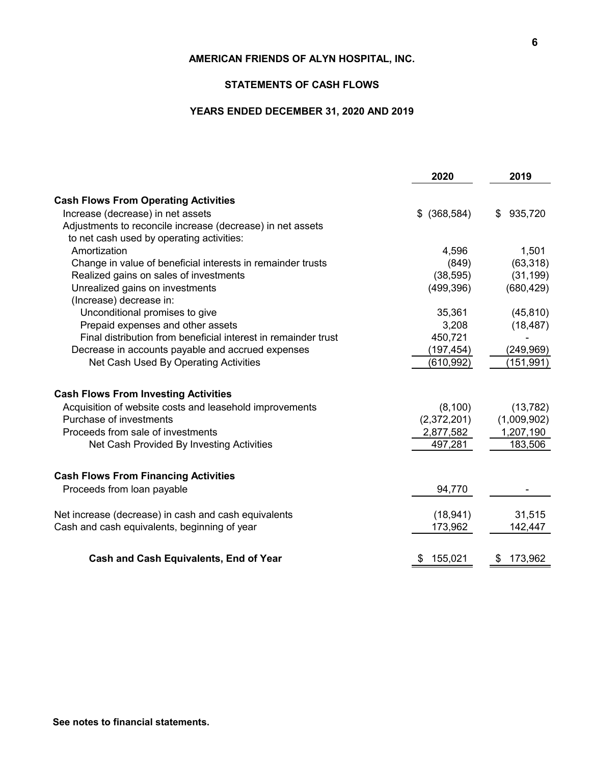#### **STATEMENTS OF CASH FLOWS**

## **YEARS ENDED DECEMBER 31, 2020 AND 2019**

|                                                                | 2020          | 2019          |
|----------------------------------------------------------------|---------------|---------------|
| <b>Cash Flows From Operating Activities</b>                    |               |               |
| Increase (decrease) in net assets                              | $$$ (368,584) | 935,720<br>\$ |
| Adjustments to reconcile increase (decrease) in net assets     |               |               |
| to net cash used by operating activities:                      |               |               |
| Amortization                                                   | 4,596         | 1,501         |
| Change in value of beneficial interests in remainder trusts    | (849)         | (63, 318)     |
| Realized gains on sales of investments                         | (38, 595)     | (31, 199)     |
| Unrealized gains on investments                                | (499, 396)    | (680, 429)    |
| (Increase) decrease in:                                        |               |               |
| Unconditional promises to give                                 | 35,361        | (45, 810)     |
| Prepaid expenses and other assets                              | 3,208         | (18, 487)     |
| Final distribution from beneficial interest in remainder trust | 450,721       |               |
| Decrease in accounts payable and accrued expenses              | (197, 454)    | (249, 969)    |
| Net Cash Used By Operating Activities                          | (610, 992)    | (151, 991)    |
| <b>Cash Flows From Investing Activities</b>                    |               |               |
| Acquisition of website costs and leasehold improvements        | (8, 100)      | (13, 782)     |
| Purchase of investments                                        | (2,372,201)   | (1,009,902)   |
| Proceeds from sale of investments                              | 2,877,582     | 1,207,190     |
| Net Cash Provided By Investing Activities                      | 497,281       | 183,506       |
| <b>Cash Flows From Financing Activities</b>                    |               |               |
| Proceeds from loan payable                                     | 94,770        |               |
|                                                                |               |               |
| Net increase (decrease) in cash and cash equivalents           | (18, 941)     | 31,515        |
| Cash and cash equivalents, beginning of year                   | 173,962       | 142,447       |
| <b>Cash and Cash Equivalents, End of Year</b>                  | 155,021<br>\$ | 173,962<br>\$ |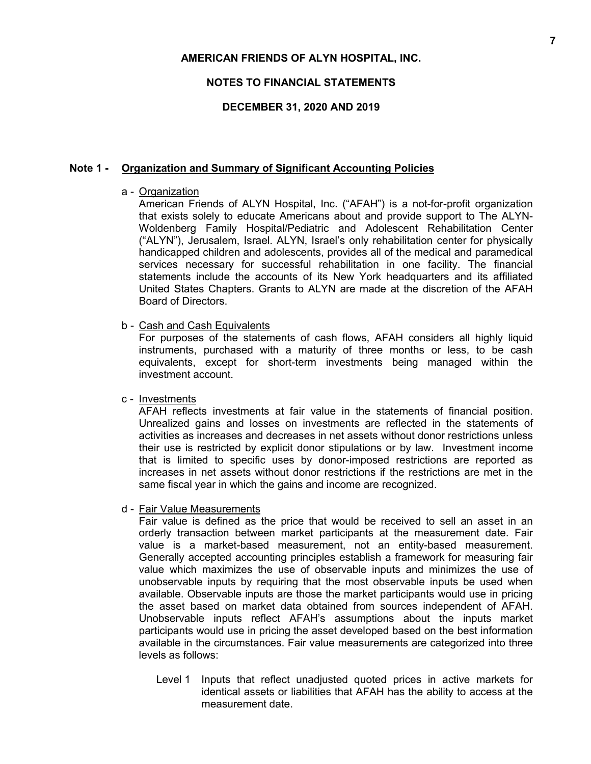### **NOTES TO FINANCIAL STATEMENTS**

### **DECEMBER 31, 2020 AND 2019**

#### **Note 1 - Organization and Summary of Significant Accounting Policies**

#### a - Organization

American Friends of ALYN Hospital, Inc. ("AFAH") is a not-for-profit organization that exists solely to educate Americans about and provide support to The ALYN-Woldenberg Family Hospital/Pediatric and Adolescent Rehabilitation Center ("ALYN"), Jerusalem, Israel. ALYN, Israel's only rehabilitation center for physically handicapped children and adolescents, provides all of the medical and paramedical services necessary for successful rehabilitation in one facility. The financial statements include the accounts of its New York headquarters and its affiliated United States Chapters. Grants to ALYN are made at the discretion of the AFAH Board of Directors.

#### b - Cash and Cash Equivalents

For purposes of the statements of cash flows, AFAH considers all highly liquid instruments, purchased with a maturity of three months or less, to be cash equivalents, except for short-term investments being managed within the investment account.

### c - Investments

AFAH reflects investments at fair value in the statements of financial position. Unrealized gains and losses on investments are reflected in the statements of activities as increases and decreases in net assets without donor restrictions unless their use is restricted by explicit donor stipulations or by law. Investment income that is limited to specific uses by donor-imposed restrictions are reported as increases in net assets without donor restrictions if the restrictions are met in the same fiscal year in which the gains and income are recognized.

#### d - Fair Value Measurements

Fair value is defined as the price that would be received to sell an asset in an orderly transaction between market participants at the measurement date. Fair value is a market-based measurement, not an entity-based measurement. Generally accepted accounting principles establish a framework for measuring fair value which maximizes the use of observable inputs and minimizes the use of unobservable inputs by requiring that the most observable inputs be used when available. Observable inputs are those the market participants would use in pricing the asset based on market data obtained from sources independent of AFAH. Unobservable inputs reflect AFAH's assumptions about the inputs market participants would use in pricing the asset developed based on the best information available in the circumstances. Fair value measurements are categorized into three levels as follows:

Level 1 Inputs that reflect unadjusted quoted prices in active markets for identical assets or liabilities that AFAH has the ability to access at the measurement date.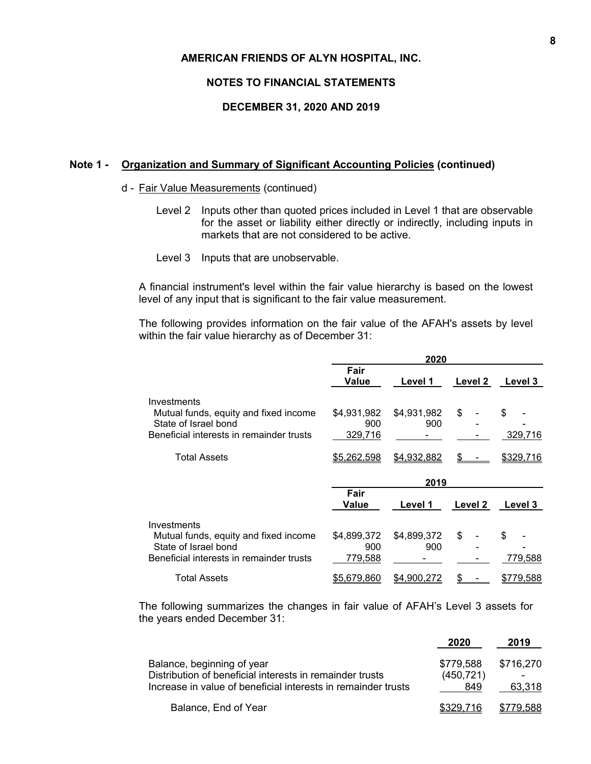#### **NOTES TO FINANCIAL STATEMENTS**

### **DECEMBER 31, 2020 AND 2019**

### **Note 1 - Organization and Summary of Significant Accounting Policies (continued)**

#### d - Fair Value Measurements (continued)

- Level 2 Inputs other than quoted prices included in Level 1 that are observable for the asset or liability either directly or indirectly, including inputs in markets that are not considered to be active.
- Level 3 Inputs that are unobservable.

A financial instrument's level within the fair value hierarchy is based on the lowest level of any input that is significant to the fair value measurement.

The following provides information on the fair value of the AFAH's assets by level within the fair value hierarchy as of December 31:

|                                                                                                                                                 | 2020                                         |                                   |          |                             |
|-------------------------------------------------------------------------------------------------------------------------------------------------|----------------------------------------------|-----------------------------------|----------|-----------------------------|
|                                                                                                                                                 | Fair<br>Value                                | Level 1                           | Level 2  | Level 3                     |
| Investments<br>Mutual funds, equity and fixed income<br>State of Israel bond<br>Beneficial interests in remainder trusts<br><b>Total Assets</b> | \$4,931,982<br>900<br>329,716<br>\$5,262,598 | \$4,931,982<br>900<br>\$4,932,882 | \$<br>\$ | \$.<br>329,716<br>\$329,716 |
|                                                                                                                                                 |                                              | 2019                              |          |                             |
|                                                                                                                                                 | Fair<br>Value                                | Level 1                           | Level 2  | Level 3                     |
| Investments<br>Mutual funds, equity and fixed income<br>State of Israel bond<br>Beneficial interests in remainder trusts                        | \$4,899,372<br>900<br>779,588                | \$4,899,372<br>900                | \$       | \$.<br>779.588              |
| <b>Total Assets</b>                                                                                                                             | \$5,679,860                                  | \$4,900,272                       |          | \$779,588                   |

The following summarizes the changes in fair value of AFAH's Level 3 assets for the years ended December 31:

|                                                               |            | ----      |
|---------------------------------------------------------------|------------|-----------|
| Balance, beginning of year                                    | \$779.588  | \$716.270 |
| Distribution of beneficial interests in remainder trusts      | (450, 721) |           |
| Increase in value of beneficial interests in remainder trusts | 849        | 63.318    |
| Balance, End of Year                                          | \$329.716  | \$779,588 |

 **2020 2019**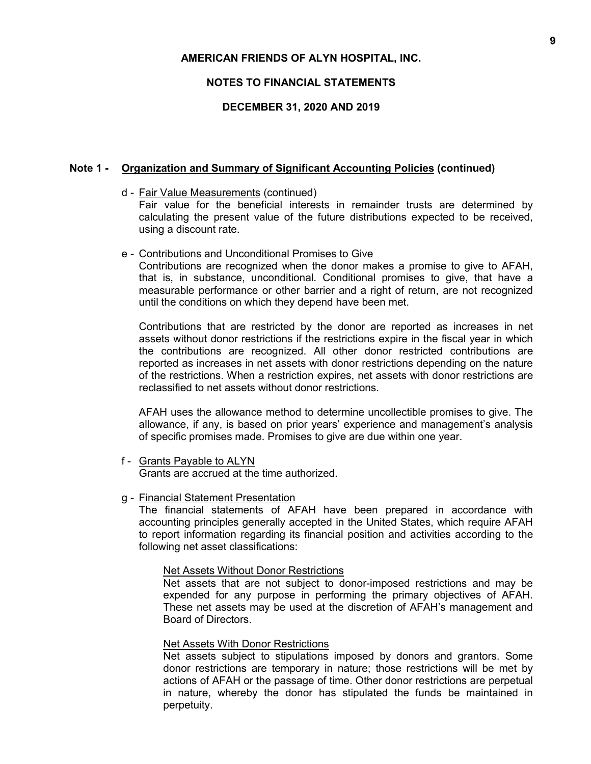### **NOTES TO FINANCIAL STATEMENTS**

### **DECEMBER 31, 2020 AND 2019**

### **Note 1 - Organization and Summary of Significant Accounting Policies (continued)**

d - Fair Value Measurements (continued)

Fair value for the beneficial interests in remainder trusts are determined by calculating the present value of the future distributions expected to be received, using a discount rate.

#### e - Contributions and Unconditional Promises to Give

Contributions are recognized when the donor makes a promise to give to AFAH, that is, in substance, unconditional. Conditional promises to give, that have a measurable performance or other barrier and a right of return, are not recognized until the conditions on which they depend have been met.

Contributions that are restricted by the donor are reported as increases in net assets without donor restrictions if the restrictions expire in the fiscal year in which the contributions are recognized. All other donor restricted contributions are reported as increases in net assets with donor restrictions depending on the nature of the restrictions. When a restriction expires, net assets with donor restrictions are reclassified to net assets without donor restrictions.

AFAH uses the allowance method to determine uncollectible promises to give. The allowance, if any, is based on prior years' experience and management's analysis of specific promises made. Promises to give are due within one year.

f - Grants Payable to ALYN Grants are accrued at the time authorized.

#### g - Financial Statement Presentation

The financial statements of AFAH have been prepared in accordance with accounting principles generally accepted in the United States, which require AFAH to report information regarding its financial position and activities according to the following net asset classifications:

#### Net Assets Without Donor Restrictions

Net assets that are not subject to donor-imposed restrictions and may be expended for any purpose in performing the primary objectives of AFAH. These net assets may be used at the discretion of AFAH's management and Board of Directors.

#### Net Assets With Donor Restrictions

Net assets subject to stipulations imposed by donors and grantors. Some donor restrictions are temporary in nature; those restrictions will be met by actions of AFAH or the passage of time. Other donor restrictions are perpetual in nature, whereby the donor has stipulated the funds be maintained in perpetuity.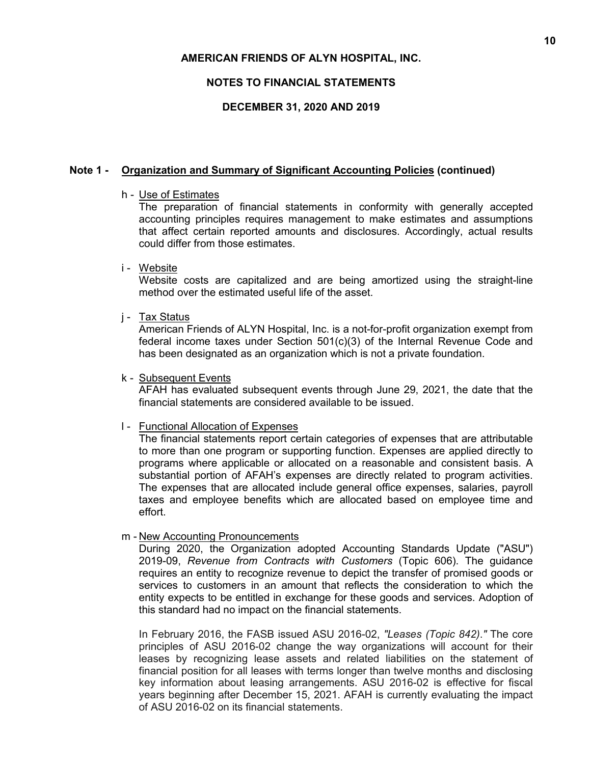## **NOTES TO FINANCIAL STATEMENTS**

### **DECEMBER 31, 2020 AND 2019**

### **Note 1 - Organization and Summary of Significant Accounting Policies (continued)**

#### h - Use of Estimates

The preparation of financial statements in conformity with generally accepted accounting principles requires management to make estimates and assumptions that affect certain reported amounts and disclosures. Accordingly, actual results could differ from those estimates.

#### i - Website

Website costs are capitalized and are being amortized using the straight-line method over the estimated useful life of the asset.

#### j - Tax Status

American Friends of ALYN Hospital, Inc. is a not-for-profit organization exempt from federal income taxes under Section 501(c)(3) of the Internal Revenue Code and has been designated as an organization which is not a private foundation.

#### k - Subsequent Events

AFAH has evaluated subsequent events through June 29, 2021, the date that the financial statements are considered available to be issued.

#### l - Functional Allocation of Expenses

The financial statements report certain categories of expenses that are attributable to more than one program or supporting function. Expenses are applied directly to programs where applicable or allocated on a reasonable and consistent basis. A substantial portion of AFAH's expenses are directly related to program activities. The expenses that are allocated include general office expenses, salaries, payroll taxes and employee benefits which are allocated based on employee time and effort.

#### m - New Accounting Pronouncements

During 2020, the Organization adopted Accounting Standards Update ("ASU") 2019-09, *Revenue from Contracts with Customers* (Topic 606). The guidance requires an entity to recognize revenue to depict the transfer of promised goods or services to customers in an amount that reflects the consideration to which the entity expects to be entitled in exchange for these goods and services. Adoption of this standard had no impact on the financial statements.

In February 2016, the FASB issued ASU 2016-02, *"Leases (Topic 842)*.*"* The core principles of ASU 2016-02 change the way organizations will account for their leases by recognizing lease assets and related liabilities on the statement of financial position for all leases with terms longer than twelve months and disclosing key information about leasing arrangements. ASU 2016-02 is effective for fiscal years beginning after December 15, 2021. AFAH is currently evaluating the impact of ASU 2016-02 on its financial statements.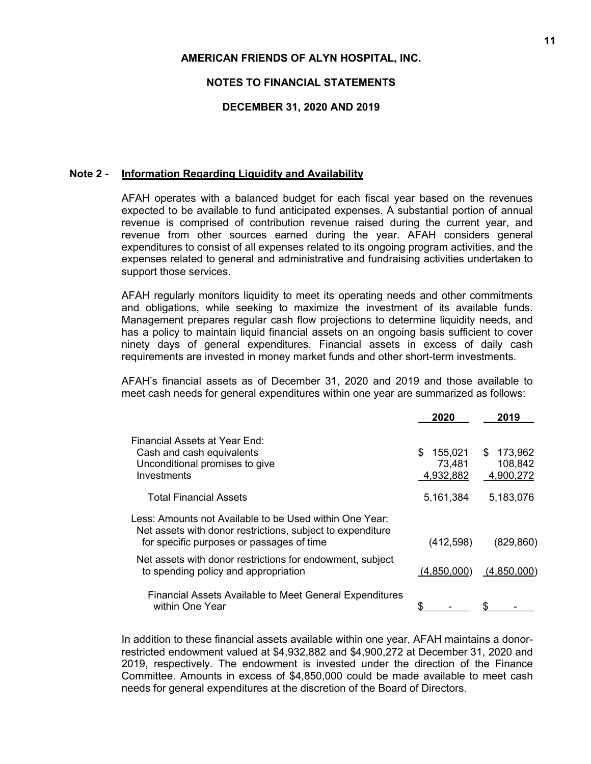#### **NOTES TO FINANCIAL STATEMENTS**

#### **DECEMBER 31, 2020 AND 2019**

#### **Note 2 - Information Regarding Liquidity and Availability**

AFAH operates with a balanced budget for each fiscal year based on the revenues expected to be available to fund anticipated expenses. A substantial portion of annual revenue is comprised of contribution revenue raised during the current year, and revenue from other sources earned during the year. AFAH considers general expenditures to consist of all expenses related to its ongoing program activities, and the expenses related to general and administrative and fundraising activities undertaken to support those services.

AFAH regularly monitors liquidity to meet its operating needs and other commitments and obligations, while seeking to maximize the investment of its available funds. Management prepares regular cash flow projections to determine liquidity needs, and has a policy to maintain liquid financial assets on an ongoing basis sufficient to cover ninety days of general expenditures. Financial assets in excess of daily cash requirements are invested in money market funds and other short-term investments.

AFAH's financial assets as of December 31, 2020 and 2019 and those available to meet cash needs for general expenditures within one year are summarized as follows:

|                                                                                                                                                                    | 2020                                 | 2019                                   |
|--------------------------------------------------------------------------------------------------------------------------------------------------------------------|--------------------------------------|----------------------------------------|
| Financial Assets at Year End:<br>Cash and cash equivalents<br>Unconditional promises to give<br>Investments                                                        | \$<br>155,021<br>73,481<br>4,932,882 | 173,962<br>\$.<br>108,842<br>4,900,272 |
| <b>Total Financial Assets</b>                                                                                                                                      | 5,161,384                            | 5,183,076                              |
| Less: Amounts not Available to be Used within One Year:<br>Net assets with donor restrictions, subject to expenditure<br>for specific purposes or passages of time | (412, 598)                           | (829, 860)                             |
| Net assets with donor restrictions for endowment, subject<br>to spending policy and appropriation                                                                  | (4,850,000)                          | (4,850,000)                            |
| <b>Financial Assets Available to Meet General Expenditures</b><br>within One Year                                                                                  |                                      |                                        |

In addition to these financial assets available within one year, AFAH maintains a donorrestricted endowment valued at \$4,932,882 and \$4,900,272 at December 31, 2020 and 2019, respectively. The endowment is invested under the direction of the Finance Committee. Amounts in excess of \$4,850,000 could be made available to meet cash needs for general expenditures at the discretion of the Board of Directors.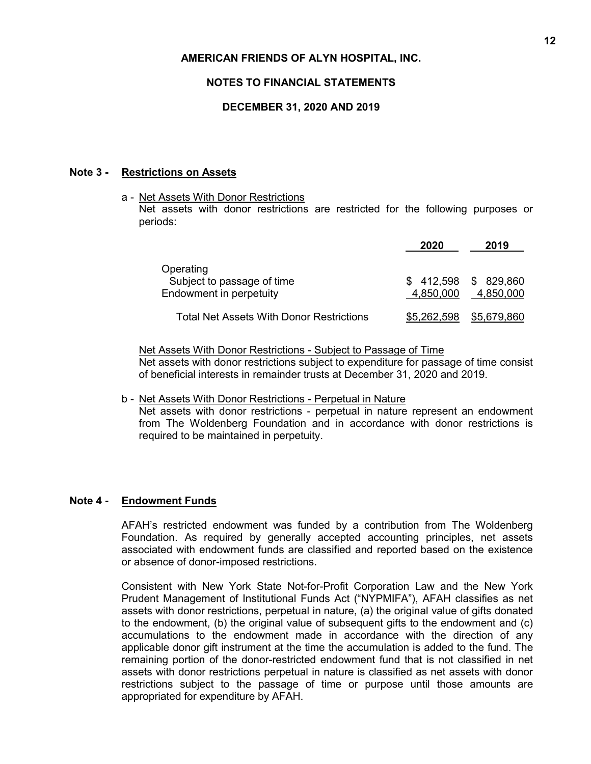### **NOTES TO FINANCIAL STATEMENTS**

### **DECEMBER 31, 2020 AND 2019**

### **Note 3 - Restrictions on Assets**

a - Net Assets With Donor Restrictions

Net assets with donor restrictions are restricted for the following purposes or periods:

|                                                                    | 2020                   | 2019                    |
|--------------------------------------------------------------------|------------------------|-------------------------|
| Operating<br>Subject to passage of time<br>Endowment in perpetuity | \$412,598<br>4,850,000 | \$ 829,860<br>4,850,000 |
| Total Net Assets With Donor Restrictions                           | \$5,262,598            | \$5,679,860             |

Net Assets With Donor Restrictions - Subject to Passage of Time Net assets with donor restrictions subject to expenditure for passage of time consist of beneficial interests in remainder trusts at December 31, 2020 and 2019.

b - Net Assets With Donor Restrictions - Perpetual in Nature

Net assets with donor restrictions - perpetual in nature represent an endowment from The Woldenberg Foundation and in accordance with donor restrictions is required to be maintained in perpetuity.

### **Note 4 - Endowment Funds**

AFAH's restricted endowment was funded by a contribution from The Woldenberg Foundation. As required by generally accepted accounting principles, net assets associated with endowment funds are classified and reported based on the existence or absence of donor-imposed restrictions.

Consistent with New York State Not-for-Profit Corporation Law and the New York Prudent Management of Institutional Funds Act ("NYPMIFA"), AFAH classifies as net assets with donor restrictions, perpetual in nature, (a) the original value of gifts donated to the endowment, (b) the original value of subsequent gifts to the endowment and (c) accumulations to the endowment made in accordance with the direction of any applicable donor gift instrument at the time the accumulation is added to the fund. The remaining portion of the donor-restricted endowment fund that is not classified in net assets with donor restrictions perpetual in nature is classified as net assets with donor restrictions subject to the passage of time or purpose until those amounts are appropriated for expenditure by AFAH.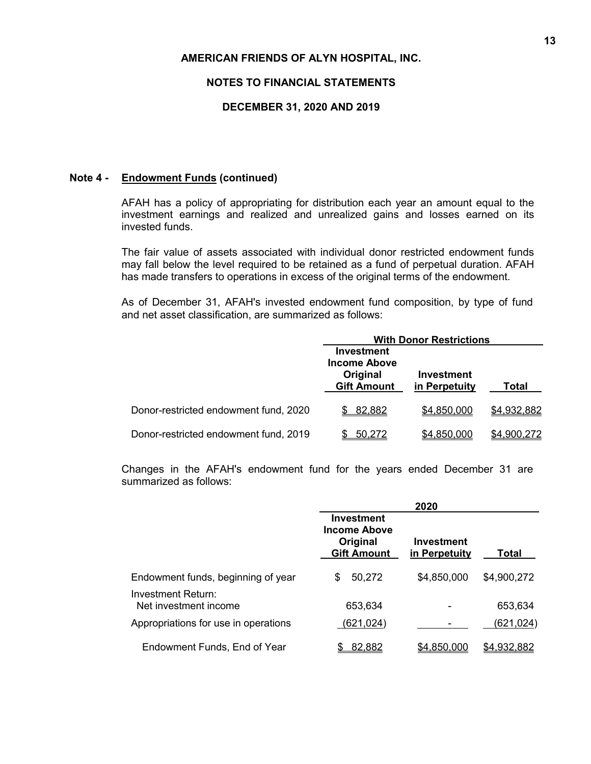#### **NOTES TO FINANCIAL STATEMENTS**

### **DECEMBER 31, 2020 AND 2019**

#### **Note 4 - Endowment Funds (continued)**

AFAH has a policy of appropriating for distribution each year an amount equal to the investment earnings and realized and unrealized gains and losses earned on its invested funds.

The fair value of assets associated with individual donor restricted endowment funds may fall below the level required to be retained as a fund of perpetual duration. AFAH has made transfers to operations in excess of the original terms of the endowment.

As of December 31, AFAH's invested endowment fund composition, by type of fund and net asset classification, are summarized as follows:

|                                       | <b>With Donor Restrictions</b>                                      |                             |             |  |
|---------------------------------------|---------------------------------------------------------------------|-----------------------------|-------------|--|
|                                       | Investment<br><b>Income Above</b><br>Original<br><b>Gift Amount</b> | Investment<br>in Perpetuity | Total       |  |
| Donor-restricted endowment fund, 2020 | 82,882                                                              | \$4,850,000                 | \$4,932,882 |  |
| Donor-restricted endowment fund, 2019 | 50,272                                                              | \$4,850,000                 | \$4,900,272 |  |

Changes in the AFAH's endowment fund for the years ended December 31 are summarized as follows:

|                                             | 2020                                                                       |                             |                    |  |
|---------------------------------------------|----------------------------------------------------------------------------|-----------------------------|--------------------|--|
|                                             | <b>Investment</b><br><b>Income Above</b><br>Original<br><b>Gift Amount</b> | Investment<br>in Perpetuity | Total              |  |
| Endowment funds, beginning of year          | 50,272<br>\$                                                               | \$4,850,000                 | \$4,900,272        |  |
| Investment Return:<br>Net investment income | 653,634                                                                    |                             | 653,634            |  |
| Appropriations for use in operations        | (621,024)                                                                  |                             | (6 <u>21,024</u> ) |  |
| Endowment Funds, End of Year                | 82,882                                                                     | \$4,850,000                 | \$4,932,882        |  |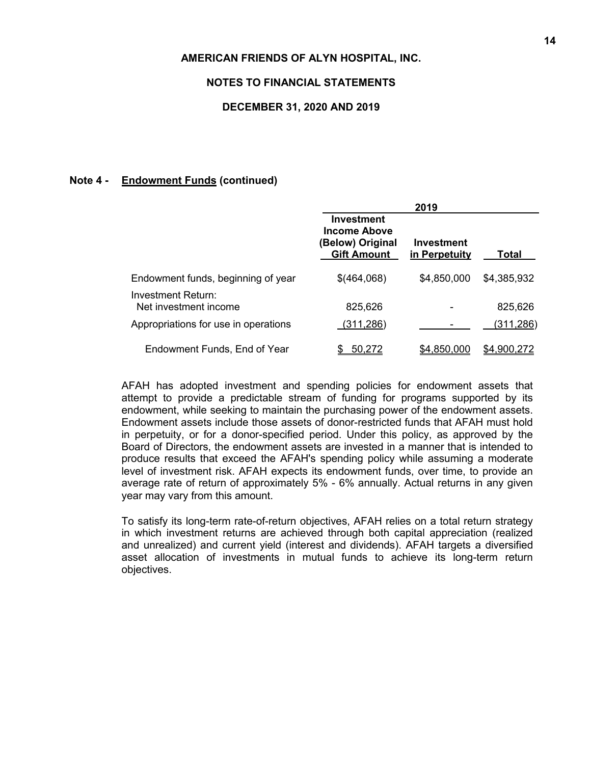#### **NOTES TO FINANCIAL STATEMENTS**

#### **DECEMBER 31, 2020 AND 2019**

## **Note 4 - Endowment Funds (continued)**

|                                             | 2019                                                                               |                             |                  |  |
|---------------------------------------------|------------------------------------------------------------------------------------|-----------------------------|------------------|--|
|                                             | <b>Investment</b><br><b>Income Above</b><br>(Below) Original<br><b>Gift Amount</b> | Investment<br>in Perpetuity | Total            |  |
| Endowment funds, beginning of year          | \$(464,068)                                                                        | \$4,850,000                 | \$4,385,932      |  |
| Investment Return:<br>Net investment income | 825,626                                                                            |                             | 825,626          |  |
| Appropriations for use in operations        | (311,286)                                                                          |                             | <u>(311,286)</u> |  |
| Endowment Funds, End of Year                | 50.272                                                                             | \$4,850,000                 | \$4.900.272      |  |

AFAH has adopted investment and spending policies for endowment assets that attempt to provide a predictable stream of funding for programs supported by its endowment, while seeking to maintain the purchasing power of the endowment assets. Endowment assets include those assets of donor-restricted funds that AFAH must hold in perpetuity, or for a donor-specified period. Under this policy, as approved by the Board of Directors, the endowment assets are invested in a manner that is intended to produce results that exceed the AFAH's spending policy while assuming a moderate level of investment risk. AFAH expects its endowment funds, over time, to provide an average rate of return of approximately 5% - 6% annually. Actual returns in any given year may vary from this amount.

To satisfy its long-term rate-of-return objectives, AFAH relies on a total return strategy in which investment returns are achieved through both capital appreciation (realized and unrealized) and current yield (interest and dividends). AFAH targets a diversified asset allocation of investments in mutual funds to achieve its long-term return objectives.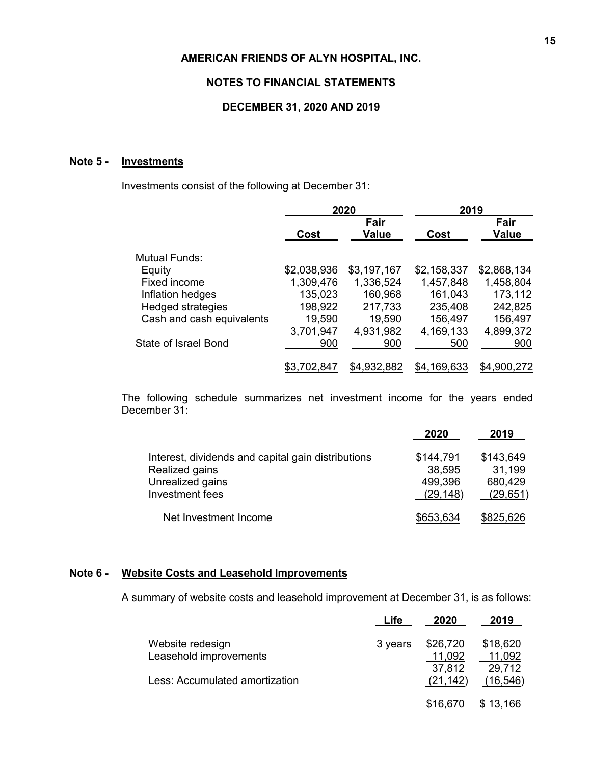### **NOTES TO FINANCIAL STATEMENTS**

### **DECEMBER 31, 2020 AND 2019**

# **Note 5 - Investments**

Investments consist of the following at December 31:

|                             | 2020        |                      | 2019               |               |  |
|-----------------------------|-------------|----------------------|--------------------|---------------|--|
|                             | Cost        | Fair<br><b>Value</b> | Cost               | Fair<br>Value |  |
| Mutual Funds:               |             |                      |                    |               |  |
| Equity                      | \$2,038,936 | \$3,197,167          | \$2,158,337        | \$2,868,134   |  |
| Fixed income                | 1,309,476   | 1,336,524            | 1,457,848          | 1,458,804     |  |
| Inflation hedges            | 135,023     | 160,968              | 161,043            | 173,112       |  |
| <b>Hedged strategies</b>    | 198,922     | 217,733              | 235,408            | 242,825       |  |
| Cash and cash equivalents   | 19,590      | 19,590               | 156,497            | 156,497       |  |
|                             | 3,701,947   | 4,931,982            | 4,169,133          | 4,899,372     |  |
| <b>State of Israel Bond</b> | 900         | 900                  | 500                | 900           |  |
|                             | \$3.702,84  | \$4,932,882          | <u>\$4,169,633</u> | \$4,900,272   |  |

The following schedule summarizes net investment income for the years ended December 31:

|                                                    | 2020      | 2019      |
|----------------------------------------------------|-----------|-----------|
| Interest, dividends and capital gain distributions | \$144,791 | \$143,649 |
| Realized gains                                     | 38,595    | 31,199    |
| Unrealized gains                                   | 499,396   | 680,429   |
| Investment fees                                    | (29, 148) | (29, 651) |
| Net Investment Income                              | \$653,634 | \$825,626 |

### **Note 6 - Website Costs and Leasehold Improvements**

A summary of website costs and leasehold improvement at December 31, is as follows:

|                                | ∟ife    | 2020             | 2019             |
|--------------------------------|---------|------------------|------------------|
| Website redesign               | 3 years | \$26,720         | \$18,620         |
| Leasehold improvements         |         | 11,092<br>37,812 | 11,092<br>29,712 |
| Less: Accumulated amortization |         | (21, 142)        | (16, 546)        |
|                                |         | <u>\$16,670</u>  | <u>13,166</u>    |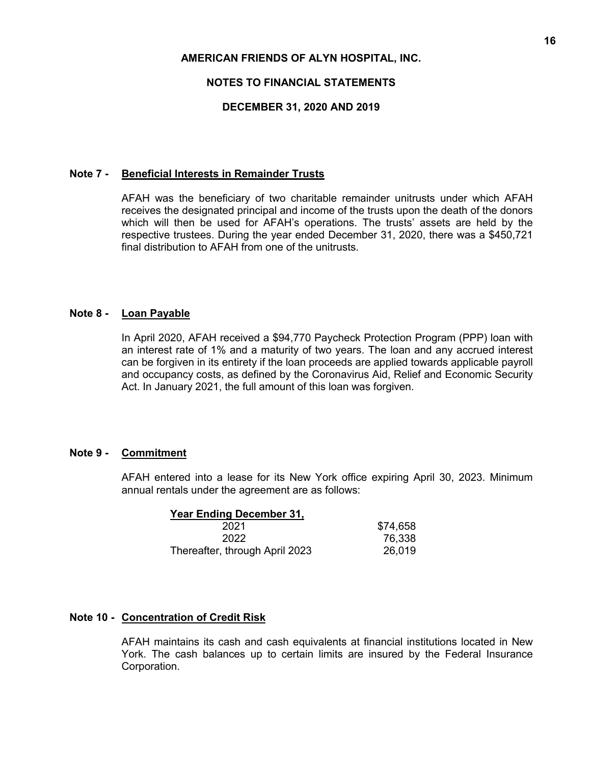## **NOTES TO FINANCIAL STATEMENTS**

### **DECEMBER 31, 2020 AND 2019**

#### **Note 7 - Beneficial Interests in Remainder Trusts**

AFAH was the beneficiary of two charitable remainder unitrusts under which AFAH receives the designated principal and income of the trusts upon the death of the donors which will then be used for AFAH's operations. The trusts' assets are held by the respective trustees. During the year ended December 31, 2020, there was a \$450,721 final distribution to AFAH from one of the unitrusts.

#### **Note 8 - Loan Payable**

In April 2020, AFAH received a \$94,770 Paycheck Protection Program (PPP) loan with an interest rate of 1% and a maturity of two years. The loan and any accrued interest can be forgiven in its entirety if the loan proceeds are applied towards applicable payroll and occupancy costs, as defined by the Coronavirus Aid, Relief and Economic Security Act. In January 2021, the full amount of this loan was forgiven.

### **Note 9 - Commitment**

AFAH entered into a lease for its New York office expiring April 30, 2023. Minimum annual rentals under the agreement are as follows:

| <b>Year Ending December 31,</b> |          |
|---------------------------------|----------|
| 2021                            | \$74,658 |
| 2022                            | 76,338   |
| Thereafter, through April 2023  | 26,019   |

### **Note 10 - Concentration of Credit Risk**

AFAH maintains its cash and cash equivalents at financial institutions located in New York. The cash balances up to certain limits are insured by the Federal Insurance Corporation.